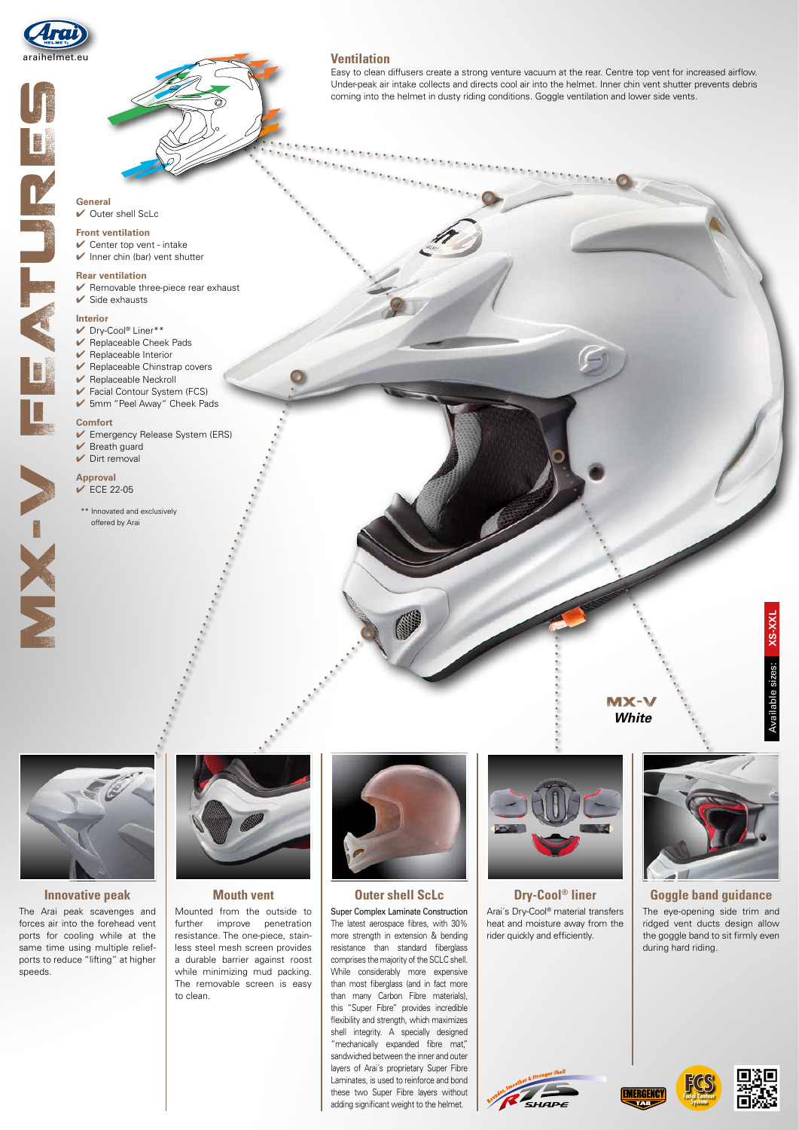

# General<br>
Scriber Counter Register<br>
V Centre V Centre V Centre<br>
V Centre V Centre V Centre<br>
V Centre V V Replaca<br>
V V Replaca<br>
Comfort V V Experience<br>
Comfort V V Engel<br>
Comfort V V Engel<br>
Comfort V V Engel<br>
Comfort V V Eng NOVAL C

VIX-

### **Ventilation**

Easy to clean diffusers create a strong venture vacuum at the rear. Centre top vent for increased airflow. Under-peak air intake collects and directs cool air into the helmet. Inner chin vent shutter prevents debris coming into the helmet in dusty riding conditions. Goggle ventilation and lower side vents.

### General  $\vee$  Outer shell ScLc

### **Front ventilation**

 $\vee$  Center top vent - intake  $\triangleright$  Inner chin (bar) vent shutter

### **Rear ventilation**

- 4 Removable three-piece rear exhaust
- $\checkmark$  Side exhausts
- 

### **Interior**

- Dry-Cool® Liner\*\* 4 Replaceable Cheek Pads
- $\vee$  Replaceable Interior
- $\blacktriangleright$  Replaceable Chinstrap covers
- $\blacktriangleright$  Replaceable Neckroll
- $\blacktriangleright$  Facial Contour System (FCS)
- 4 5mm "Peel Away" Cheek Pads

### **Comfort**

- 4 Emergency Release System (ERS)
- $\vee$  Breath guard
- $\vee$  Dirt removal



\*\* Innovated and exclusively offered by Arai



### **Innovative peak**

The Arai peak scavenges and forces air into the forehead vent ports for cooling while at the same time using multiple reliefports to reduce "lifting" at higher speeds.



### **Mouth vent**

Mounted from the outside to further improve penetration resistance. The one-piece, stainless steel mesh screen provides a durable barrier against roost while minimizing mud packing. The removable screen is easy to clean.



Super Complex Laminate Construction The latest aerospace fibres, with 30% more strength in extension & bending resistance than standard fiberglass comprises the majority of the SCLC shell. While considerably more expensive than most fiberglass (and in fact more than many Carbon Fibre materials), this "Super Fibre" provides incredible flexibility and strength, which maximizes shell integrity. A specially designed "mechanically expanded fibre mat," sandwiched between the inner and outer layers of Arai´s proprietary Super Fibre Laminates, is used to reinforce and bond these two Super Fibre layers without adding significant weight to the helmet.



Arai´s Dry-Cool® material transfers heat and moisture away from the rider quickly and efficiently.



MX-V *White*

Available sizes: **XS-XXL**

Available sizes:

XS-XXL

**Outer shell ScLc Dry-Cool® liner Goggle band guidance** The eye-opening side trim and ridged vent ducts design allow the goggle band to sit firmly even during hard riding.